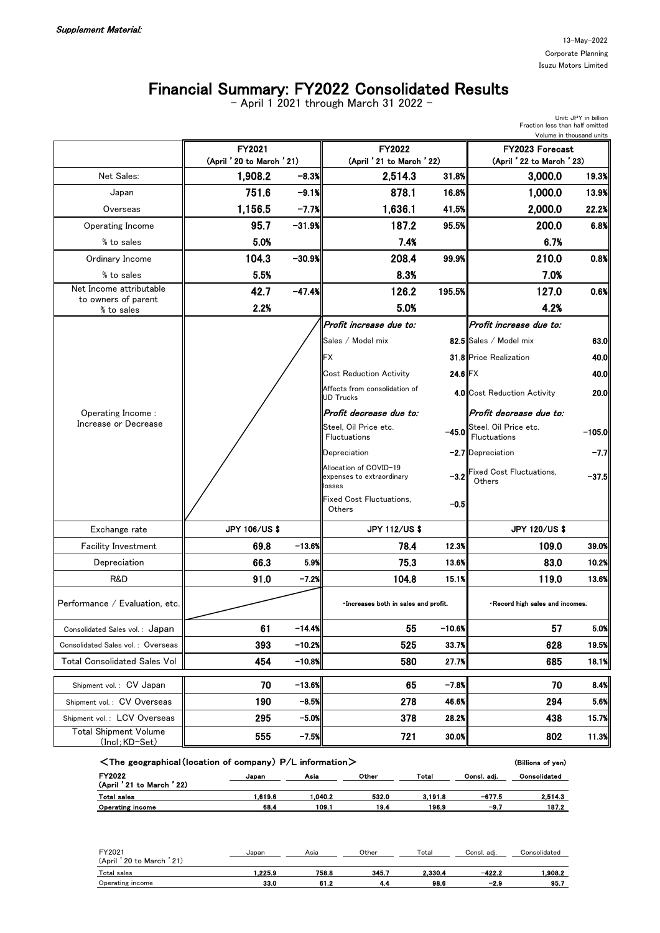Unit: JPY in billion

Fraction less than half omitted

## Financial Summary: FY2022 Consolidated Results

- April 1 2021 through March 31 2022 -

|                                                      |                                                                            |           |                                                               |           | Volume in thousand units                         |          |  |  |
|------------------------------------------------------|----------------------------------------------------------------------------|-----------|---------------------------------------------------------------|-----------|--------------------------------------------------|----------|--|--|
|                                                      | FY2021<br>(April ' 20 to March ' 21)                                       |           | FY2022<br>(April '21 to March '22)                            |           | FY2023 Forecast<br>(April ' 22 to March ' 23)    |          |  |  |
| Net Sales:                                           | 1,908.2                                                                    | $-8.3%$   | 2,514.3                                                       | 31.8%     | 3,000.0                                          | 19.3%    |  |  |
| Japan                                                | 751.6                                                                      | $-9.1%$   | 878.1                                                         | 16.8%     | 1,000.0                                          | 13.9%    |  |  |
| Overseas                                             | 1,156.5                                                                    | $-7.7%$   | 1,636.1                                                       | 41.5%     | 2,000.0                                          | 22.2%    |  |  |
| Operating Income                                     | 95.7                                                                       | $-31.9%$  | 187.2                                                         | 95.5%     | 200.0                                            | 6.8%     |  |  |
| % to sales                                           | 5.0%                                                                       |           | 7.4%                                                          |           | 6.7%                                             |          |  |  |
| Ordinary Income                                      | 104.3                                                                      | $-30.9%$  | 208.4                                                         | 99.9%     | 210.0                                            | 0.8%     |  |  |
| % to sales                                           | 5.5%                                                                       |           | 8.3%                                                          |           | 7.0%                                             |          |  |  |
| Net Income attributable                              | 42.7                                                                       | $-47.4%$  | 126.2                                                         | 195.5%    | 127.0                                            | 0.6%     |  |  |
| to owners of parent<br>% to sales                    | 2.2%                                                                       |           | 5.0%                                                          |           | 4.2%                                             |          |  |  |
|                                                      |                                                                            |           | Profit increase due to:                                       |           | Profit increase due to:                          |          |  |  |
|                                                      |                                                                            |           | Sales / Model mix                                             |           | 82.5 Sales / Model mix                           | 63.0     |  |  |
|                                                      |                                                                            |           | <b>FX</b>                                                     |           | 31.8 Price Realization                           | 40.0     |  |  |
|                                                      |                                                                            |           | <b>Cost Reduction Activity</b>                                | $24.6$ FX |                                                  | 40.0     |  |  |
|                                                      |                                                                            |           | Affects from consolidation of<br><b>UD Trucks</b>             |           | 4.0 Cost Reduction Activity                      | 20.0     |  |  |
| Operating Income:                                    |                                                                            |           | Profit decrease due to:                                       |           | Profit decrease due to:                          |          |  |  |
| Increase or Decrease                                 |                                                                            |           | Steel, Oil Price etc.<br>Fluctuations                         | $-45.0$   | Steel, Oil Price etc.<br>Fluctuations            | $-105.0$ |  |  |
|                                                      |                                                                            |           | Depreciation                                                  |           | $-2.7$ Depreciation                              | $-7.7$   |  |  |
|                                                      |                                                                            |           | Allocation of COVID-19<br>expenses to extraordinary<br>losses |           | -3.2 Fixed Cost Fluctuations,<br>Others          | $-37.5$  |  |  |
|                                                      |                                                                            |           | <b>Fixed Cost Fluctuations.</b><br>Others                     | $-0.5$    |                                                  |          |  |  |
| Exchange rate                                        | <b>JPY 106/US \$</b>                                                       |           | <b>JPY 112/US \$</b>                                          |           | <b>JPY 120/US \$</b>                             |          |  |  |
| <b>Facility Investment</b>                           | 69.8                                                                       | $-13.6%$  | 78.4                                                          | 12.3%     | 109.0                                            | 39.0%    |  |  |
| Depreciation                                         | 66.3                                                                       | 5.9%      | 75.3                                                          | 13.6%     | 83.0                                             | 10.2%    |  |  |
| R&D                                                  | 91.0                                                                       | $-7.2%$   | 104.8                                                         | 15.1%     | 119.0                                            | 13.6%    |  |  |
| Performance / Evaluation, etc.                       |                                                                            |           | · Increases both in sales and profit.                         |           | . Record high sales and incomes.                 |          |  |  |
| Consolidated Sales vol.: Japan                       | 61                                                                         | $-14.4%$  | 55                                                            | $-10.6%$  | 57                                               | 5.0%     |  |  |
| Consolidated Sales vol.: Overseas                    | 393                                                                        | $-10.2%$  | 525                                                           | 33.7%     | 628                                              | 19.5%    |  |  |
| <b>Total Consolidated Sales Vol</b>                  | 454                                                                        | $-10.8\%$ | 580                                                           | 27.7%     | 685                                              | 18.1%    |  |  |
| Shipment vol.: CV Japan                              | 70                                                                         | $-13.6%$  | 65                                                            | $-7.8\%$  | 70                                               | 8.4%     |  |  |
| Shipment vol.: CV Overseas                           | 190                                                                        | $-8.5%$   | 278                                                           | 46.6%     | 294                                              | 5.6%     |  |  |
| Shipment vol.: LCV Overseas                          | 295                                                                        | $-5.0%$   | 378                                                           | 28.2%     | 438                                              | 15.7%    |  |  |
| <b>Total Shipment Volume</b><br><u>(Incl;KD-Set)</u> | 555                                                                        | $-7.5%$   | 721                                                           | 30.0%     | 802                                              | 11.3%    |  |  |
| FY2022                                               | $\leq$ The geographical (location of company) P/L information $>$<br>Japan | Asia      | Other<br>Total                                                |           | (Billions of yen)<br>Consolidated<br>Consl. adj. |          |  |  |

| FY2022<br>(April ' 21 to March ' 22) | Japan  | Asia   | Other | Total   | Consl. adj. | Consolidated |  |
|--------------------------------------|--------|--------|-------|---------|-------------|--------------|--|
| Total sales                          | .619.6 | .040.2 | 532.0 | 3.191.8 | $-677.5$    | 2.514.3      |  |
| Operating income                     | 68.4   | 109.   | 19.4  | 196.9   | $-9.7$      | 187.2        |  |

| FY2021                        | Japan  | Asia  | Other | Total   | Consl. adj. | Consolidated |  |
|-------------------------------|--------|-------|-------|---------|-------------|--------------|--|
| (April ' 20 to March<br>' 21) |        |       |       |         |             |              |  |
| Total sales                   | .225.9 | 758.8 | 345.7 | 2.330.4 | $-422.2$    | .908.2       |  |
| Operating income              | 33.0   | 61.2  | 4.4   | 98.6    | $-2.9$      | 95.7         |  |